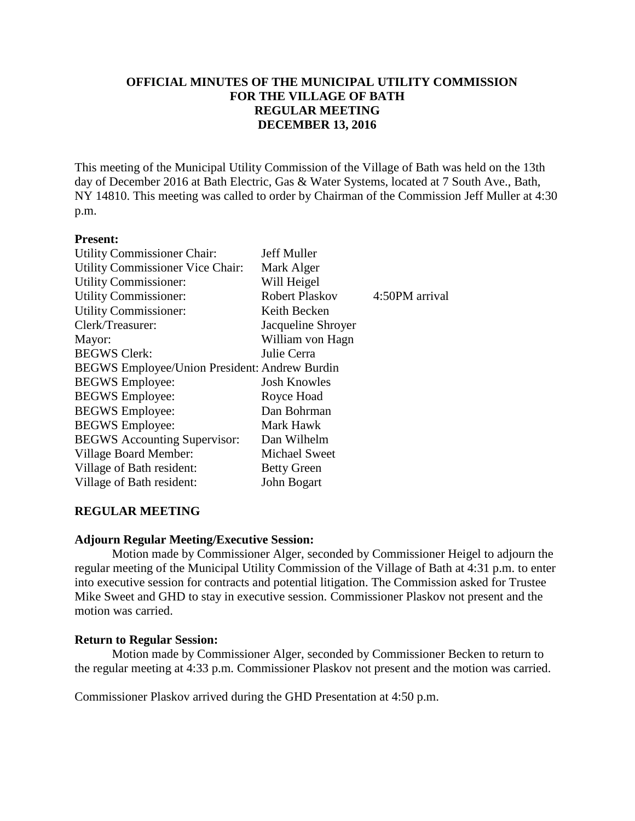## **OFFICIAL MINUTES OF THE MUNICIPAL UTILITY COMMISSION FOR THE VILLAGE OF BATH REGULAR MEETING DECEMBER 13, 2016**

This meeting of the Municipal Utility Commission of the Village of Bath was held on the 13th day of December 2016 at Bath Electric, Gas & Water Systems, located at 7 South Ave., Bath, NY 14810. This meeting was called to order by Chairman of the Commission Jeff Muller at 4:30 p.m.

#### **Present:**

| Jeff Muller                                          |                |  |
|------------------------------------------------------|----------------|--|
| Mark Alger                                           |                |  |
| Will Heigel                                          |                |  |
| <b>Robert Plaskov</b>                                | 4:50PM arrival |  |
| Keith Becken                                         |                |  |
| Jacqueline Shroyer                                   |                |  |
| William von Hagn                                     |                |  |
| Julie Cerra                                          |                |  |
| <b>BEGWS Employee/Union President: Andrew Burdin</b> |                |  |
| <b>Josh Knowles</b>                                  |                |  |
| Royce Hoad                                           |                |  |
| Dan Bohrman                                          |                |  |
| Mark Hawk                                            |                |  |
| Dan Wilhelm                                          |                |  |
| <b>Michael Sweet</b>                                 |                |  |
| <b>Betty Green</b>                                   |                |  |
| John Bogart                                          |                |  |
|                                                      |                |  |

### **REGULAR MEETING**

### **Adjourn Regular Meeting/Executive Session:**

Motion made by Commissioner Alger, seconded by Commissioner Heigel to adjourn the regular meeting of the Municipal Utility Commission of the Village of Bath at 4:31 p.m. to enter into executive session for contracts and potential litigation. The Commission asked for Trustee Mike Sweet and GHD to stay in executive session. Commissioner Plaskov not present and the motion was carried.

### **Return to Regular Session:**

Motion made by Commissioner Alger, seconded by Commissioner Becken to return to the regular meeting at 4:33 p.m. Commissioner Plaskov not present and the motion was carried.

Commissioner Plaskov arrived during the GHD Presentation at 4:50 p.m.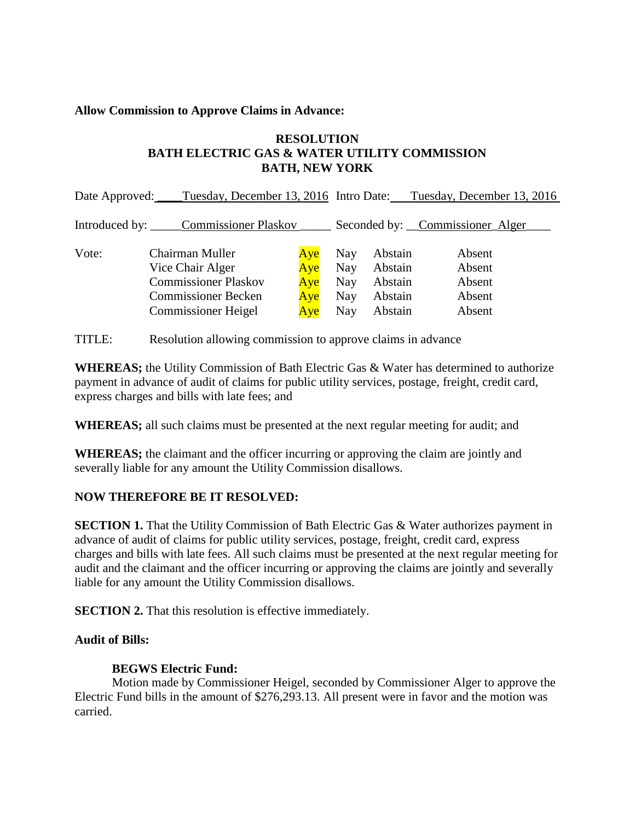### **Allow Commission to Approve Claims in Advance:**

## **RESOLUTION BATH ELECTRIC GAS & WATER UTILITY COMMISSION BATH, NEW YORK**

| Date Approved: | Tuesday, December 13, 2016 Intro Date:                                                                                         |                                 |                                               |                                                     | Tuesday, December 13, 2016                     |
|----------------|--------------------------------------------------------------------------------------------------------------------------------|---------------------------------|-----------------------------------------------|-----------------------------------------------------|------------------------------------------------|
|                | Introduced by: _______Commissioner Plaskov                                                                                     |                                 |                                               |                                                     | Seconded by: Commissioner Alger                |
| Vote:          | Chairman Muller<br>Vice Chair Alger<br><b>Commissioner Plaskov</b><br><b>Commissioner Becken</b><br><b>Commissioner Heigel</b> | Aye<br>Aye<br>Aye<br>Aye<br>Aye | Nay<br><b>Nay</b><br><b>Nay</b><br>Nay<br>Nay | Abstain<br>Abstain<br>Abstain<br>Abstain<br>Abstain | Absent<br>Absent<br>Absent<br>Absent<br>Absent |

TITLE: Resolution allowing commission to approve claims in advance

**WHEREAS;** the Utility Commission of Bath Electric Gas & Water has determined to authorize payment in advance of audit of claims for public utility services, postage, freight, credit card, express charges and bills with late fees; and

**WHEREAS;** all such claims must be presented at the next regular meeting for audit; and

**WHEREAS;** the claimant and the officer incurring or approving the claim are jointly and severally liable for any amount the Utility Commission disallows.

## **NOW THEREFORE BE IT RESOLVED:**

**SECTION 1.** That the Utility Commission of Bath Electric Gas & Water authorizes payment in advance of audit of claims for public utility services, postage, freight, credit card, express charges and bills with late fees. All such claims must be presented at the next regular meeting for audit and the claimant and the officer incurring or approving the claims are jointly and severally liable for any amount the Utility Commission disallows.

**SECTION 2.** That this resolution is effective immediately.

## **Audit of Bills:**

## **BEGWS Electric Fund:**

Motion made by Commissioner Heigel, seconded by Commissioner Alger to approve the Electric Fund bills in the amount of \$276,293.13. All present were in favor and the motion was carried.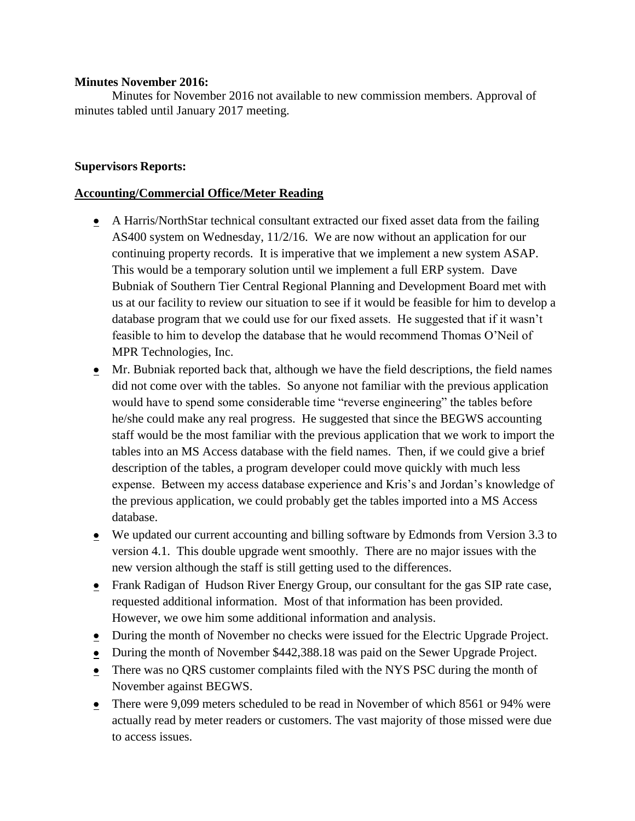### **Minutes November 2016:**

Minutes for November 2016 not available to new commission members. Approval of minutes tabled until January 2017 meeting.

## **Supervisors Reports:**

## **Accounting/Commercial Office/Meter Reading**

- A Harris/NorthStar technical consultant extracted our fixed asset data from the failing AS400 system on Wednesday, 11/2/16. We are now without an application for our continuing property records. It is imperative that we implement a new system ASAP. This would be a temporary solution until we implement a full ERP system. Dave Bubniak of Southern Tier Central Regional Planning and Development Board met with us at our facility to review our situation to see if it would be feasible for him to develop a database program that we could use for our fixed assets. He suggested that if it wasn't feasible to him to develop the database that he would recommend Thomas O'Neil of MPR Technologies, Inc.
- Mr. Bubniak reported back that, although we have the field descriptions, the field names did not come over with the tables. So anyone not familiar with the previous application would have to spend some considerable time "reverse engineering" the tables before he/she could make any real progress. He suggested that since the BEGWS accounting staff would be the most familiar with the previous application that we work to import the tables into an MS Access database with the field names. Then, if we could give a brief description of the tables, a program developer could move quickly with much less expense. Between my access database experience and Kris's and Jordan's knowledge of the previous application, we could probably get the tables imported into a MS Access database.
- We updated our current accounting and billing software by Edmonds from Version 3.3 to version 4.1. This double upgrade went smoothly. There are no major issues with the new version although the staff is still getting used to the differences.
- Frank Radigan of Hudson River Energy Group, our consultant for the gas SIP rate case, requested additional information. Most of that information has been provided. However, we owe him some additional information and analysis.
- During the month of November no checks were issued for the Electric Upgrade Project.
- During the month of November \$442,388.18 was paid on the Sewer Upgrade Project.
- There was no QRS customer complaints filed with the NYS PSC during the month of November against BEGWS.
- There were 9,099 meters scheduled to be read in November of which 8561 or 94% were actually read by meter readers or customers. The vast majority of those missed were due to access issues.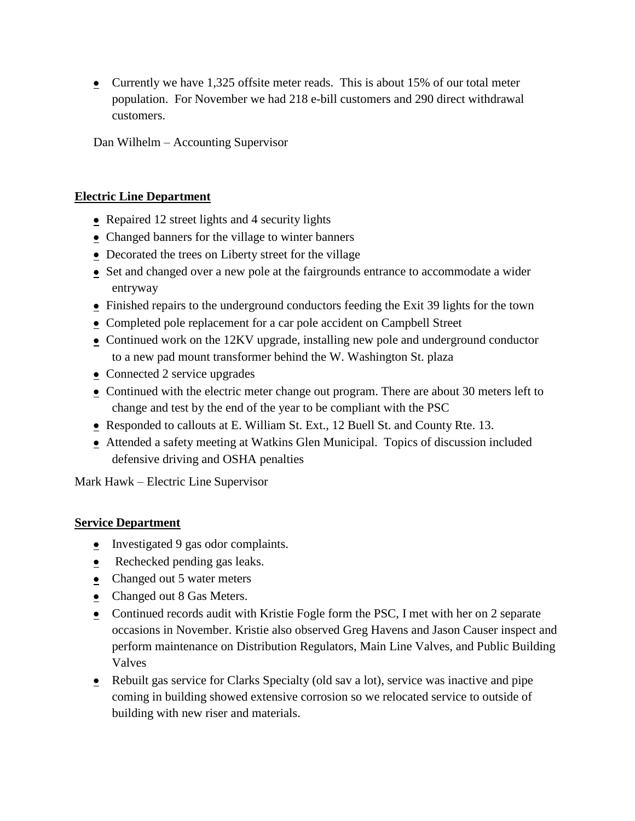• Currently we have 1,325 offsite meter reads. This is about 15% of our total meter population. For November we had 218 e-bill customers and 290 direct withdrawal customers.

Dan Wilhelm – Accounting Supervisor

### **Electric Line Department**

- Repaired 12 street lights and 4 security lights
- Changed banners for the village to winter banners
- Decorated the trees on Liberty street for the village
- Set and changed over a new pole at the fairgrounds entrance to accommodate a wider entryway
- Finished repairs to the underground conductors feeding the Exit 39 lights for the town
- Completed pole replacement for a car pole accident on Campbell Street
- Continued work on the 12KV upgrade, installing new pole and underground conductor to a new pad mount transformer behind the W. Washington St. plaza
- Connected 2 service upgrades
- Continued with the electric meter change out program. There are about 30 meters left to change and test by the end of the year to be compliant with the PSC
- Responded to callouts at E. William St. Ext., 12 Buell St. and County Rte. 13.
- Attended a safety meeting at Watkins Glen Municipal. Topics of discussion included defensive driving and OSHA penalties

Mark Hawk – Electric Line Supervisor

### **Service Department**

- $\bullet$  Investigated 9 gas odor complaints.
- Rechecked pending gas leaks.
- Changed out 5 water meters
- Changed out 8 Gas Meters.
- Continued records audit with Kristie Fogle form the PSC, I met with her on 2 separate occasions in November. Kristie also observed Greg Havens and Jason Causer inspect and perform maintenance on Distribution Regulators, Main Line Valves, and Public Building Valves
- Rebuilt gas service for Clarks Specialty (old sav a lot), service was inactive and pipe coming in building showed extensive corrosion so we relocated service to outside of building with new riser and materials.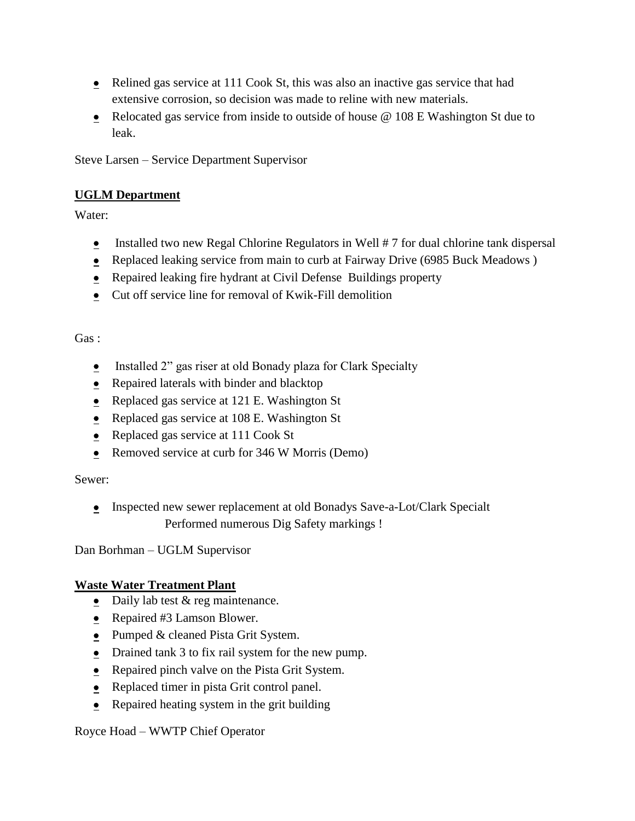- Relined gas service at 111 Cook St, this was also an inactive gas service that had extensive corrosion, so decision was made to reline with new materials.
- Relocated gas service from inside to outside of house @ 108 E Washington St due to leak.

Steve Larsen – Service Department Supervisor

# **UGLM Department**

Water:

- **Installed two new Regal Chlorine Regulators in Well**  $# 7$  **for dual chlorine tank dispersal**
- Replaced leaking service from main to curb at Fairway Drive (6985 Buck Meadows)
- Repaired leaking fire hydrant at Civil Defense Buildings property
- Cut off service line for removal of Kwik-Fill demolition

# Gas :

- $\bullet$  Installed 2" gas riser at old Bonady plaza for Clark Specialty
- Repaired laterals with binder and blacktop
- Replaced gas service at 121 E. Washington St
- Replaced gas service at 108 E. Washington St
- Replaced gas service at 111 Cook St
- Removed service at curb for 346 W Morris (Demo)

# Sewer:

• Inspected new sewer replacement at old Bonadys Save-a-Lot/Clark Specialt Performed numerous Dig Safety markings !

Dan Borhman – UGLM Supervisor

# **Waste Water Treatment Plant**

- Daily lab test  $&$  reg maintenance.
- Repaired #3 Lamson Blower.
- Pumped & cleaned Pista Grit System.
- Drained tank 3 to fix rail system for the new pump.
- Repaired pinch valve on the Pista Grit System.
- Replaced timer in pista Grit control panel.
- Repaired heating system in the grit building

Royce Hoad – WWTP Chief Operator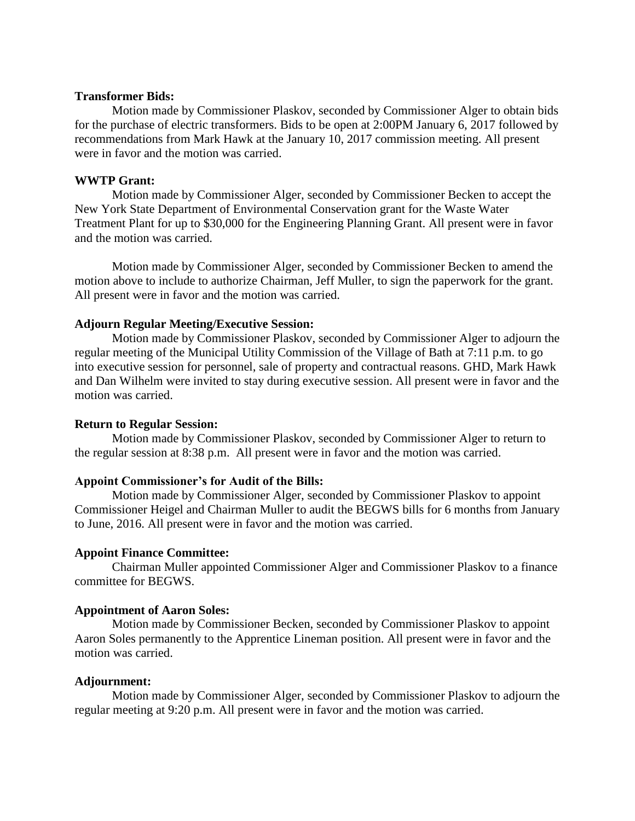#### **Transformer Bids:**

Motion made by Commissioner Plaskov, seconded by Commissioner Alger to obtain bids for the purchase of electric transformers. Bids to be open at 2:00PM January 6, 2017 followed by recommendations from Mark Hawk at the January 10, 2017 commission meeting. All present were in favor and the motion was carried.

### **WWTP Grant:**

Motion made by Commissioner Alger, seconded by Commissioner Becken to accept the New York State Department of Environmental Conservation grant for the Waste Water Treatment Plant for up to \$30,000 for the Engineering Planning Grant. All present were in favor and the motion was carried.

Motion made by Commissioner Alger, seconded by Commissioner Becken to amend the motion above to include to authorize Chairman, Jeff Muller, to sign the paperwork for the grant. All present were in favor and the motion was carried.

### **Adjourn Regular Meeting/Executive Session:**

Motion made by Commissioner Plaskov, seconded by Commissioner Alger to adjourn the regular meeting of the Municipal Utility Commission of the Village of Bath at 7:11 p.m. to go into executive session for personnel, sale of property and contractual reasons. GHD, Mark Hawk and Dan Wilhelm were invited to stay during executive session. All present were in favor and the motion was carried.

### **Return to Regular Session:**

Motion made by Commissioner Plaskov, seconded by Commissioner Alger to return to the regular session at 8:38 p.m. All present were in favor and the motion was carried.

#### **Appoint Commissioner's for Audit of the Bills:**

Motion made by Commissioner Alger, seconded by Commissioner Plaskov to appoint Commissioner Heigel and Chairman Muller to audit the BEGWS bills for 6 months from January to June, 2016. All present were in favor and the motion was carried.

### **Appoint Finance Committee:**

Chairman Muller appointed Commissioner Alger and Commissioner Plaskov to a finance committee for BEGWS.

### **Appointment of Aaron Soles:**

Motion made by Commissioner Becken, seconded by Commissioner Plaskov to appoint Aaron Soles permanently to the Apprentice Lineman position. All present were in favor and the motion was carried.

#### **Adjournment:**

Motion made by Commissioner Alger, seconded by Commissioner Plaskov to adjourn the regular meeting at 9:20 p.m. All present were in favor and the motion was carried.